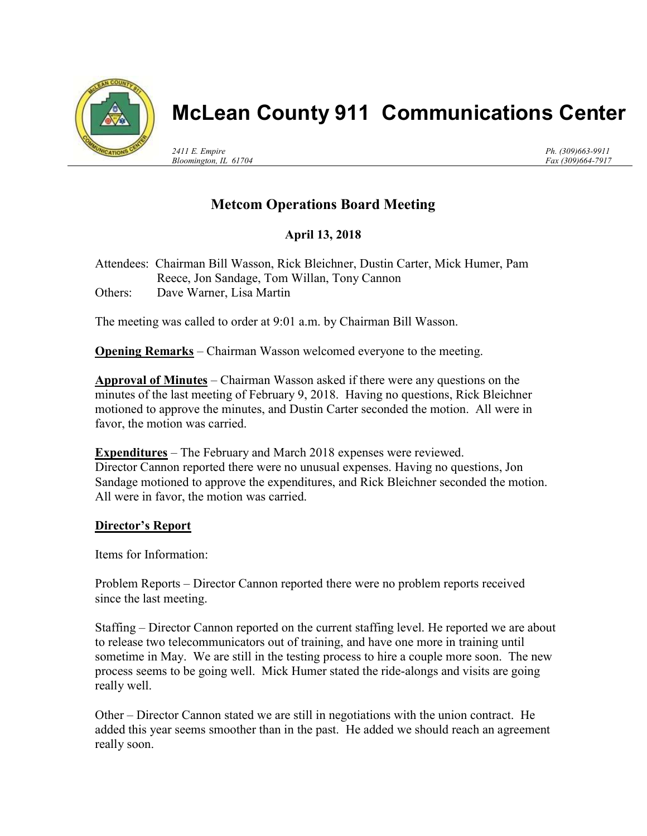

# McLean County 911 Communications Center

2411 E. Empire Bloomington, IL 61704 Ph. (309)663-9911 Fax (309)664-7917

## Metcom Operations Board Meeting

## April 13, 2018

Attendees: Chairman Bill Wasson, Rick Bleichner, Dustin Carter, Mick Humer, Pam Reece, Jon Sandage, Tom Willan, Tony Cannon Others: Dave Warner, Lisa Martin

The meeting was called to order at 9:01 a.m. by Chairman Bill Wasson.

Opening Remarks – Chairman Wasson welcomed everyone to the meeting.

Approval of Minutes – Chairman Wasson asked if there were any questions on the minutes of the last meeting of February 9, 2018. Having no questions, Rick Bleichner motioned to approve the minutes, and Dustin Carter seconded the motion. All were in favor, the motion was carried.

**Expenditures** – The February and March 2018 expenses were reviewed. Director Cannon reported there were no unusual expenses. Having no questions, Jon Sandage motioned to approve the expenditures, and Rick Bleichner seconded the motion. All were in favor, the motion was carried.

### Director's Report

Items for Information:

Problem Reports – Director Cannon reported there were no problem reports received since the last meeting.

Staffing – Director Cannon reported on the current staffing level. He reported we are about to release two telecommunicators out of training, and have one more in training until sometime in May. We are still in the testing process to hire a couple more soon. The new process seems to be going well. Mick Humer stated the ride-alongs and visits are going really well.

Other – Director Cannon stated we are still in negotiations with the union contract. He added this year seems smoother than in the past. He added we should reach an agreement really soon.